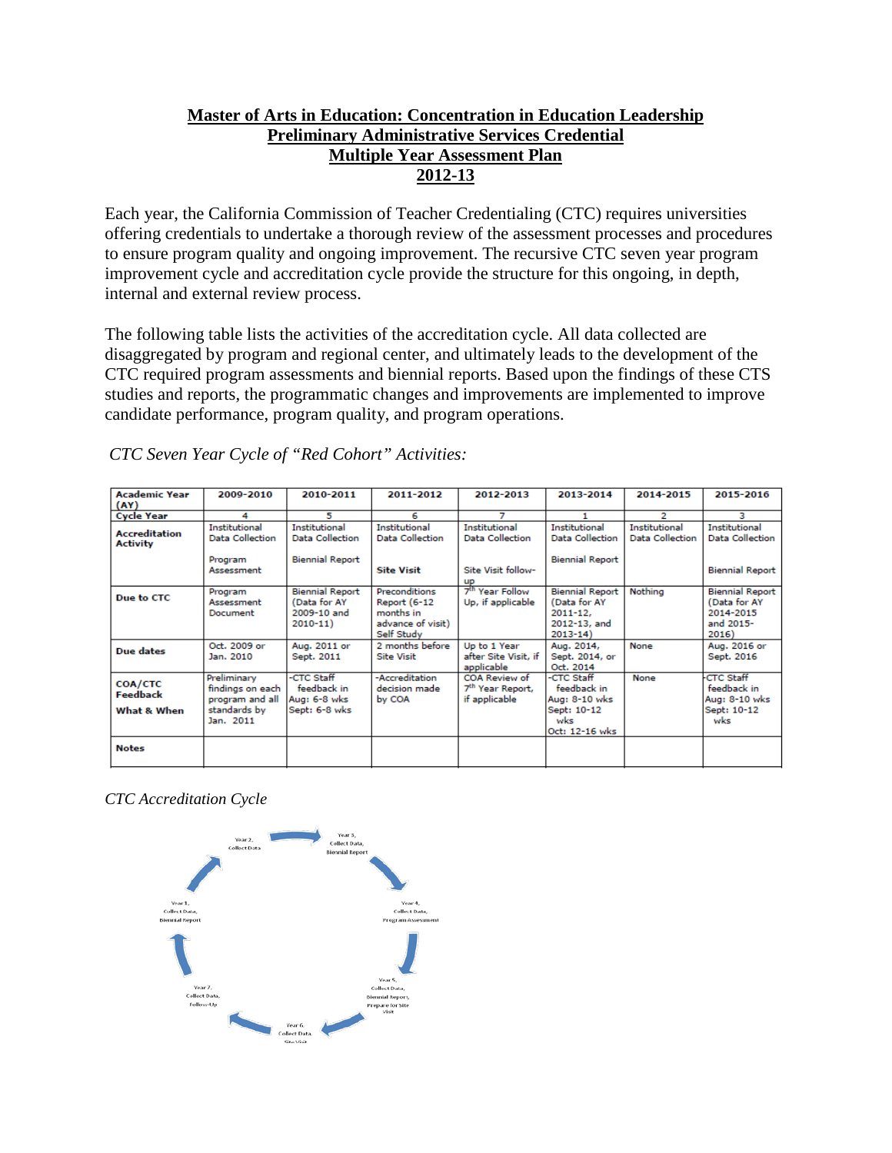## **Master of Arts in Education: Concentration in Education Leadership Preliminary Administrative Services Credential Multiple Year Assessment Plan 2012-13**

Each year, the California Commission of Teacher Credentialing (CTC) requires universities offering credentials to undertake a thorough review of the assessment processes and procedures to ensure program quality and ongoing improvement. The recursive CTC seven year program improvement cycle and accreditation cycle provide the structure for this ongoing, in depth, internal and external review process.

The following table lists the activities of the accreditation cycle. All data collected are disaggregated by program and regional center, and ultimately leads to the development of the CTC required program assessments and biennial reports. Based upon the findings of these CTS studies and reports, the programmatic changes and improvements are implemented to improve candidate performance, program quality, and program operations.

| <b>Academic Year</b><br>(AY)              | 2009-2010                                                                       | 2010-2011                                                                | 2011-2012                                                                                   | 2012-2013                                                                         | 2013-2014                                                                             | 2014-2015                                      | 2015-2016                                                                 |
|-------------------------------------------|---------------------------------------------------------------------------------|--------------------------------------------------------------------------|---------------------------------------------------------------------------------------------|-----------------------------------------------------------------------------------|---------------------------------------------------------------------------------------|------------------------------------------------|---------------------------------------------------------------------------|
| <b>Cycle Year</b>                         | 4                                                                               | 5                                                                        | 6                                                                                           | 7                                                                                 |                                                                                       | 2                                              | з                                                                         |
| <b>Accreditation</b><br><b>Activity</b>   | Institutional<br><b>Data Collection</b><br>Program<br>Assessment                | <b>Institutional</b><br><b>Data Collection</b><br><b>Biennial Report</b> | Institutional<br><b>Data Collection</b><br><b>Site Visit</b>                                | <b>Institutional</b><br><b>Data Collection</b><br>Site Visit follow-<br><b>UD</b> | Institutional<br><b>Data Collection</b><br><b>Biennial Report</b>                     | <b>Institutional</b><br><b>Data Collection</b> | Institutional<br><b>Data Collection</b><br><b>Biennial Report</b>         |
| Due to CTC                                | Program<br>Assessment<br>Document                                               | <b>Biennial Report</b><br>(Data for AY<br>2009-10 and<br>$2010 - 11$     | <b>Preconditions</b><br><b>Report (6-12</b><br>months in<br>advance of visit)<br>Self Study | 7 <sup>th</sup> Year Follow<br>Up, if applicable                                  | <b>Biennial Report</b><br>(Data for AY<br>$2011 - 12.$<br>2012-13, and<br>$2013 - 14$ | Nothing                                        | <b>Biennial Report</b><br>(Data for AY<br>2014-2015<br>and 2015-<br>2016) |
| Due dates                                 | Oct. 2009 or<br>Jan. 2010                                                       | Aug. 2011 or<br>Sept. 2011                                               | 2 months before<br><b>Site Visit</b>                                                        | Up to 1 Year<br>after Site Visit, if<br>applicable                                | Aug. 2014,<br>Sept. 2014, or<br>Oct. 2014                                             | None                                           | Aug. 2016 or<br>Sept. 2016                                                |
| COA/CTC<br><b>Feedback</b><br>What & When | Preliminary<br>findings on each<br>program and all<br>standards by<br>Jan. 2011 | -CTC Staff<br>feedback in<br>Aug: 6-8 wks<br>Sept: 6-8 wks               | -Accreditation<br>decision made<br>by COA                                                   | COA Review of<br>7 <sup>th</sup> Year Report,<br>if applicable                    | -CTC Staff<br>feedback in<br>Aug: 8-10 wks<br>Sept: 10-12<br>wks<br>Oct: 12-16 wks    | None                                           | <b>CTC Staff</b><br>feedback in<br>Aug: 8-10 wks<br>Sept: 10-12<br>wks    |
| <b>Notes</b>                              |                                                                                 |                                                                          |                                                                                             |                                                                                   |                                                                                       |                                                |                                                                           |

*CTC Seven Year Cycle of "Red Cohort" Activities:*

*CTC Accreditation Cycle*

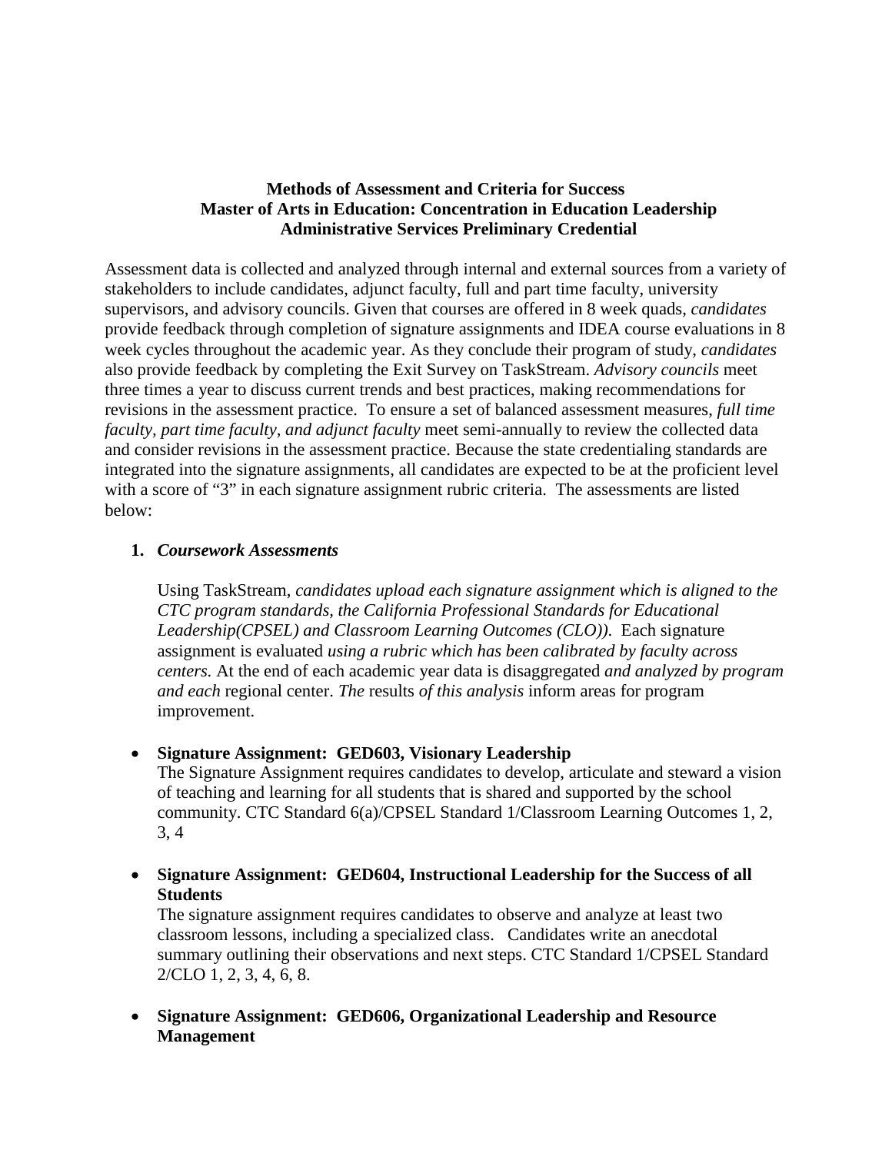### **Methods of Assessment and Criteria for Success Master of Arts in Education: Concentration in Education Leadership Administrative Services Preliminary Credential**

Assessment data is collected and analyzed through internal and external sources from a variety of stakeholders to include candidates, adjunct faculty, full and part time faculty, university supervisors, and advisory councils. Given that courses are offered in 8 week quads, *candidates* provide feedback through completion of signature assignments and IDEA course evaluations in 8 week cycles throughout the academic year. As they conclude their program of study, *candidates* also provide feedback by completing the Exit Survey on TaskStream. *Advisory councils* meet three times a year to discuss current trends and best practices, making recommendations for revisions in the assessment practice. To ensure a set of balanced assessment measures, *full time faculty, part time faculty, and adjunct faculty* meet semi-annually to review the collected data and consider revisions in the assessment practice. Because the state credentialing standards are integrated into the signature assignments, all candidates are expected to be at the proficient level with a score of "3" in each signature assignment rubric criteria. The assessments are listed below:

#### **1.** *Coursework Assessments*

Using TaskStream, *candidates upload each signature assignment which is aligned to the CTC program standards, the California Professional Standards for Educational Leadership(CPSEL) and Classroom Learning Outcomes (CLO))*. Each signature assignment is evaluated *using a rubric which has been calibrated by faculty across centers.* At the end of each academic year data is disaggregated *and analyzed by program and each* regional center. *The* results *of this analysis* inform areas for program improvement.

• **Signature Assignment: GED603, Visionary Leadership**

The Signature Assignment requires candidates to develop, articulate and steward a vision of teaching and learning for all students that is shared and supported by the school community. CTC Standard 6(a)/CPSEL Standard 1/Classroom Learning Outcomes 1, 2, 3, 4

• **Signature Assignment: GED604, Instructional Leadership for the Success of all Students** 

The signature assignment requires candidates to observe and analyze at least two classroom lessons, including a specialized class. Candidates write an anecdotal summary outlining their observations and next steps. CTC Standard 1/CPSEL Standard 2/CLO 1, 2, 3, 4, 6, 8.

• **Signature Assignment: GED606, Organizational Leadership and Resource Management**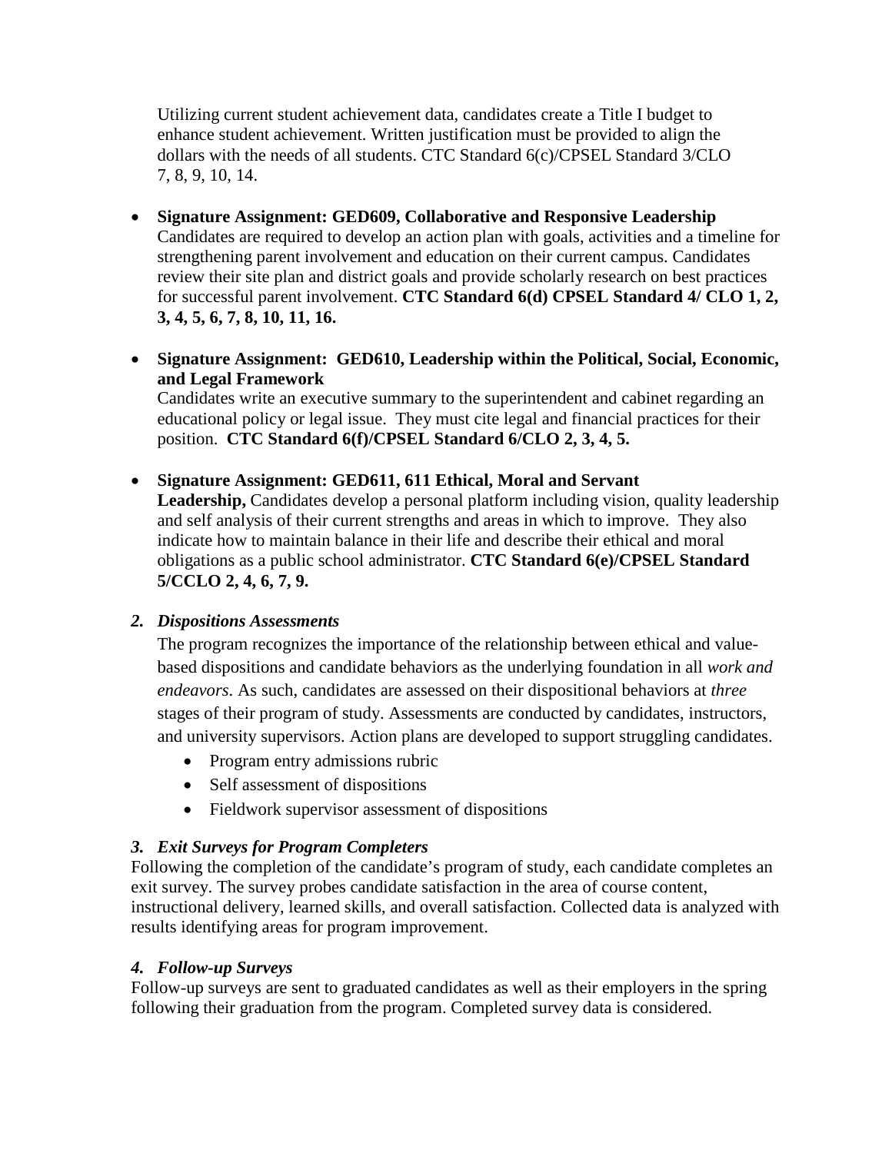Utilizing current student achievement data, candidates create a Title I budget to enhance student achievement. Written justification must be provided to align the dollars with the needs of all students. CTC Standard 6(c)/CPSEL Standard 3/CLO 7, 8, 9, 10, 14.

- **Signature Assignment: GED609, Collaborative and Responsive Leadership**  Candidates are required to develop an action plan with goals, activities and a timeline for strengthening parent involvement and education on their current campus. Candidates review their site plan and district goals and provide scholarly research on best practices for successful parent involvement. **CTC Standard 6(d) CPSEL Standard 4/ CLO 1, 2, 3, 4, 5, 6, 7, 8, 10, 11, 16.**
- **Signature Assignment: GED610, Leadership within the Political, Social, Economic, and Legal Framework** Candidates write an executive summary to the superintendent and cabinet regarding an educational policy or legal issue. They must cite legal and financial practices for their position. **CTC Standard 6(f)/CPSEL Standard 6/CLO 2, 3, 4, 5.**
- **Signature Assignment: GED611, 611 Ethical, Moral and Servant**  Leadership, Candidates develop a personal platform including vision, quality leadership and self analysis of their current strengths and areas in which to improve. They also indicate how to maintain balance in their life and describe their ethical and moral obligations as a public school administrator. **CTC Standard 6(e)/CPSEL Standard 5/CCLO 2, 4, 6, 7, 9.**

# *2. Dispositions Assessments*

The program recognizes the importance of the relationship between ethical and valuebased dispositions and candidate behaviors as the underlying foundation in all *work and endeavors*. As such, candidates are assessed on their dispositional behaviors at *three* stages of their program of study. Assessments are conducted by candidates, instructors, and university supervisors. Action plans are developed to support struggling candidates.

- Program entry admissions rubric
- Self assessment of dispositions
- Fieldwork supervisor assessment of dispositions

### *3. Exit Surveys for Program Completers*

Following the completion of the candidate's program of study, each candidate completes an exit survey. The survey probes candidate satisfaction in the area of course content, instructional delivery, learned skills, and overall satisfaction. Collected data is analyzed with results identifying areas for program improvement.

### *4. Follow-up Surveys*

Follow-up surveys are sent to graduated candidates as well as their employers in the spring following their graduation from the program. Completed survey data is considered.